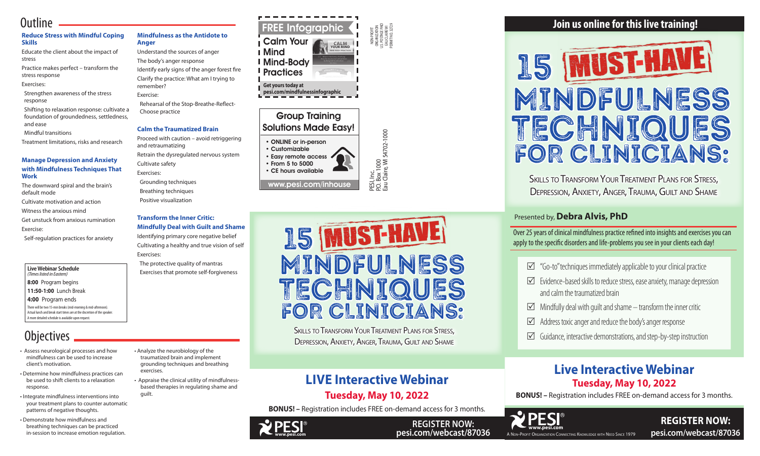

**REGISTER NOW: pesi.com/webcast/87036**

PESI, Inc.<br>P.O. Box 1000<br>Eau Claire, WI 54702-1000 P.O. Box 1000

NON-PROFIT ORGANIZATION U.S. POSTAGE PAID EAU CLAIRE WI PERMIT NO. 32729

Eau Claire, WI 54702-1000

**Live Webinar Schedule**  *(Times listed in Eastern)* **8:00** Program begins **11:50-1:00** Lunch Break

**4:00** Program ends

There will be two 15-min breaks (mid-morning & mid-afternoon). Actual lunch and break start times are at the discretion of the speaker. A more detailed schedule is available upon request.

# **Objectives**

# **Join us online for this live training!**

# **UST-H** 15 MINDFULNESS TECHNIQUES FOR CLINICIANS:

SKILLS TO TRANSFORM YOUR TREATMENT PLANS FOR STRESS, DEPRESSION, ANXIETY, ANGER, TRAUMA, GUILT AND SHAME

# Presented by, **Debra Alvis, PhD**

Over 25 years of clinical mindfulness practice refined into insights and exercises you can apply to the specific disorders and life-problems you see in your clients each day!

- $\boxtimes$  "Go-to" techniques immediately applicable to your clinical practice
- $\triangledown$  Evidence-based skills to reduce stress, ease anxiety, manage depression and calm the traumatized brain
- $\boxtimes$  Mindfully deal with quilt and shame transform the inner critic
- $\boxtimes$  Address toxic anger and reduce the body's anger response
- $\boxtimes$  Guidance, interactive demonstrations, and step-by-step instruction

# **Live Interactive Webinar Tuesday, May 10, 2022**

**BONUS! –** Registration includes FREE on-demand access for 3 months.



## **REGISTER NOW: pesi.com/webcast/87036**

# **LIVE Interactive Webinar Tuesday, May 10, 2022**

**BONUS! –** Registration includes FREE on-demand access for 3 months.

# **Outline**

#### **Reduce Stress with Mindful Coping Skills**

Educate the client about the impact of stress

#### Group Training *Breath is like a remote control for your body. When controlled, it can change your body, mind, and wellness.* Author Unknown Solutions Made Easy! **EXERCISE 2: 7 - 11** me rac

Practice makes perfect – transform the stress response

#### Exercises:

 Strengthen awareness of the stress response

 Shifting to relaxation response: cultivate a foundation of groundedness, settledness, and ease

Mindful transitions

Treatment limitations, risks and research

#### **Manage Depression and Anxiety with Mindfulness Techniques That Work**

The downward spiral and the brain's default mode

Cultivate motivation and action

Witness the anxious mind

Get unstuck from anxious rumination

Exercise:

Self-regulation practices for anxiety

### **Mindfulness as the Antidote to Anger**

Understand the sources of anger

- The body's anger response
- Identify early signs of the anger forest fire

Clarify the practice: What am I trying to remember?

#### Exercise:

 Rehearsal of the Stop-Breathe-Reflect-Choose practice

#### **Calm the Traumatized Brain**

Proceed with caution – avoid retriggering and retraumatizing

pesi.com/mindfulnessinfographic relax. Notice the difference you feel in your legs and feet. Concentrate on your mind. How are the quality of your thoughts and emotions?  $info$ <sup>9</sup> <sup>M</sup>ind

Retrain the dysregulated nervous system Cultivate safety

Exercises:

 Grounding techniques Breathing techniques Positive visualization

#### **Transform the Inner Critic: Mindfully Deal with Guilt and Shame**

Identifying primary core negative belief Cultivating a healthy and true vision of self Exercises:

 The protective quality of mantras Exercises that promote self-forgiveness

- ONLINE or in-person
- Customizable • Easy remote access • From 5 to 5000 • CE hours available long-term focus, empathy, social reasoning and attachment *The number of thoughts the average person has in one day!*

www.pesi.com/inhouse

- Assess neurological processes and how mindfulness can be used to increase client's motivation.
- Determine how mindfulness practices can be used to shift clients to a relaxation response.
- Integrate mindfulness interventions into your treatment plans to counter automatic patterns of negative thoughts.
- Demonstrate how mindfulness and breathing techniques can be practiced in-session to increase emotion regulation.

• Analyze the neurobiology of the traumatized brain and implement grounding techniques and breathing

exercises.

• Appraise the clinical utility of mindfulnessbased therapies in regulating shame and

guilt.





SKILLS TO TRANSFORM YOUR TREATMENT PLANS FOR STRESS. DEPRESSION, ANXIETY, ANGER, TRAUMA, GUILT AND SHAME

2

**<sup>E</sup>XERCIS<sup>E</sup> <sup>3</sup>: <sup>H</sup>.A.L.T.**